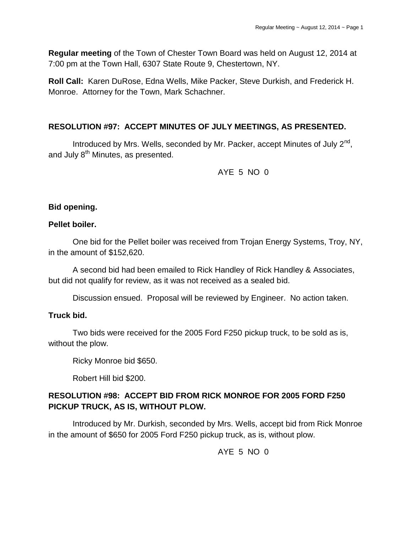**Regular meeting** of the Town of Chester Town Board was held on August 12, 2014 at 7:00 pm at the Town Hall, 6307 State Route 9, Chestertown, NY.

**Roll Call:** Karen DuRose, Edna Wells, Mike Packer, Steve Durkish, and Frederick H. Monroe. Attorney for the Town, Mark Schachner.

### **RESOLUTION #97: ACCEPT MINUTES OF JULY MEETINGS, AS PRESENTED.**

Introduced by Mrs. Wells, seconded by Mr. Packer, accept Minutes of July 2<sup>nd</sup>, and July 8<sup>th</sup> Minutes, as presented.

AYE 5 NO 0

### **Bid opening.**

#### **Pellet boiler.**

One bid for the Pellet boiler was received from Trojan Energy Systems, Troy, NY, in the amount of \$152,620.

A second bid had been emailed to Rick Handley of Rick Handley & Associates, but did not qualify for review, as it was not received as a sealed bid.

Discussion ensued. Proposal will be reviewed by Engineer. No action taken.

### **Truck bid.**

Two bids were received for the 2005 Ford F250 pickup truck, to be sold as is, without the plow.

Ricky Monroe bid \$650.

Robert Hill bid \$200.

## **RESOLUTION #98: ACCEPT BID FROM RICK MONROE FOR 2005 FORD F250 PICKUP TRUCK, AS IS, WITHOUT PLOW.**

Introduced by Mr. Durkish, seconded by Mrs. Wells, accept bid from Rick Monroe in the amount of \$650 for 2005 Ford F250 pickup truck, as is, without plow.

AYE 5 NO 0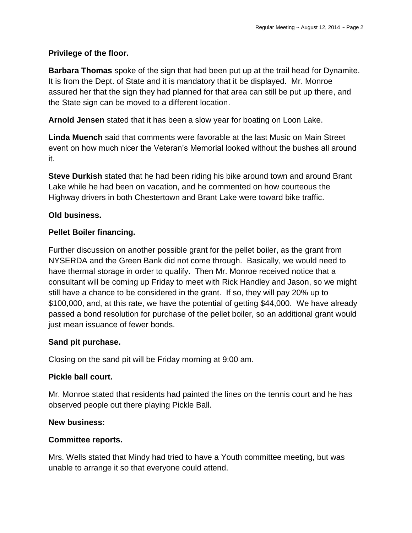## **Privilege of the floor.**

**Barbara Thomas** spoke of the sign that had been put up at the trail head for Dynamite. It is from the Dept. of State and it is mandatory that it be displayed. Mr. Monroe assured her that the sign they had planned for that area can still be put up there, and the State sign can be moved to a different location.

**Arnold Jensen** stated that it has been a slow year for boating on Loon Lake.

**Linda Muench** said that comments were favorable at the last Music on Main Street event on how much nicer the Veteran's Memorial looked without the bushes all around it.

**Steve Durkish** stated that he had been riding his bike around town and around Brant Lake while he had been on vacation, and he commented on how courteous the Highway drivers in both Chestertown and Brant Lake were toward bike traffic.

## **Old business.**

## **Pellet Boiler financing.**

Further discussion on another possible grant for the pellet boiler, as the grant from NYSERDA and the Green Bank did not come through. Basically, we would need to have thermal storage in order to qualify. Then Mr. Monroe received notice that a consultant will be coming up Friday to meet with Rick Handley and Jason, so we might still have a chance to be considered in the grant. If so, they will pay 20% up to \$100,000, and, at this rate, we have the potential of getting \$44,000. We have already passed a bond resolution for purchase of the pellet boiler, so an additional grant would just mean issuance of fewer bonds.

### **Sand pit purchase.**

Closing on the sand pit will be Friday morning at 9:00 am.

### **Pickle ball court.**

Mr. Monroe stated that residents had painted the lines on the tennis court and he has observed people out there playing Pickle Ball.

### **New business:**

### **Committee reports.**

Mrs. Wells stated that Mindy had tried to have a Youth committee meeting, but was unable to arrange it so that everyone could attend.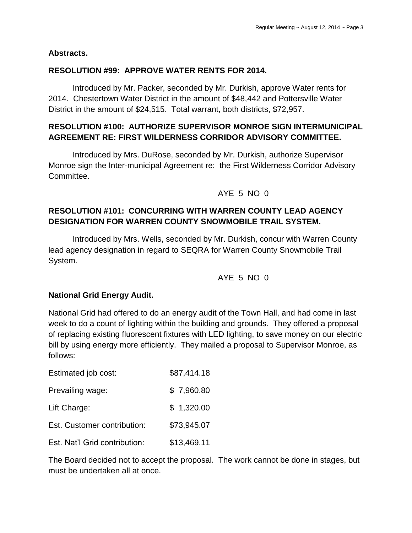### **Abstracts.**

### **RESOLUTION #99: APPROVE WATER RENTS FOR 2014.**

Introduced by Mr. Packer, seconded by Mr. Durkish, approve Water rents for 2014. Chestertown Water District in the amount of \$48,442 and Pottersville Water District in the amount of \$24,515. Total warrant, both districts, \$72,957.

## **RESOLUTION #100: AUTHORIZE SUPERVISOR MONROE SIGN INTERMUNICIPAL AGREEMENT RE: FIRST WILDERNESS CORRIDOR ADVISORY COMMITTEE.**

Introduced by Mrs. DuRose, seconded by Mr. Durkish, authorize Supervisor Monroe sign the Inter-municipal Agreement re: the First Wilderness Corridor Advisory Committee.

#### AYE 5 NO 0

# **RESOLUTION #101: CONCURRING WITH WARREN COUNTY LEAD AGENCY DESIGNATION FOR WARREN COUNTY SNOWMOBILE TRAIL SYSTEM.**

Introduced by Mrs. Wells, seconded by Mr. Durkish, concur with Warren County lead agency designation in regard to SEQRA for Warren County Snowmobile Trail System.

AYE 5 NO 0

#### **National Grid Energy Audit.**

National Grid had offered to do an energy audit of the Town Hall, and had come in last week to do a count of lighting within the building and grounds. They offered a proposal of replacing existing fluorescent fixtures with LED lighting, to save money on our electric bill by using energy more efficiently. They mailed a proposal to Supervisor Monroe, as follows:

| Estimated job cost:           | \$87,414.18 |
|-------------------------------|-------------|
| Prevailing wage:              | \$7,960.80  |
| Lift Charge:                  | \$1,320.00  |
| Est. Customer contribution:   | \$73,945.07 |
| Est. Nat'l Grid contribution: | \$13,469.11 |

The Board decided not to accept the proposal. The work cannot be done in stages, but must be undertaken all at once.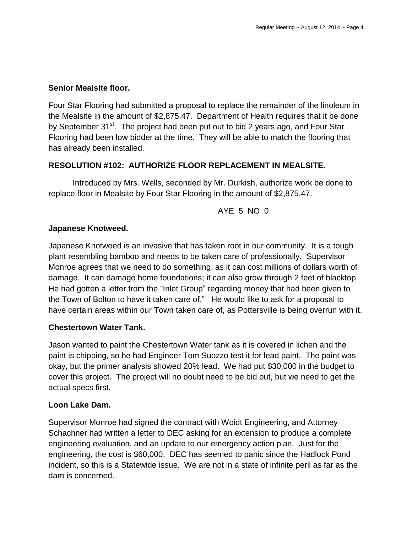### **Senior Mealsite floor.**

Four Star Flooring had submitted a proposal to replace the remainder of the linoleum in the Mealsite in the amount of \$2,875.47. Department of Health requires that it be done by September 31<sup>st</sup>. The project had been put out to bid 2 years ago, and Four Star Flooring had been low bidder at the time. They will be able to match the flooring that has already been installed.

### **RESOLUTION #102: AUTHORIZE FLOOR REPLACEMENT IN MEALSITE.**

Introduced by Mrs. Wells, seconded by Mr. Durkish, authorize work be done to replace floor in Mealsite by Four Star Flooring in the amount of \$2,875.47.

AYE 5 NO 0

### **Japanese Knotweed.**

Japanese Knotweed is an invasive that has taken root in our community. It is a tough plant resembling bamboo and needs to be taken care of professionally. Supervisor Monroe agrees that we need to do something, as it can cost millions of dollars worth of damage. It can damage home foundations; it can also grow through 2 feet of blacktop. He had gotten a letter from the "Inlet Group" regarding money that had been given to the Town of Bolton to have it taken care of." He would like to ask for a proposal to have certain areas within our Town taken care of, as Pottersville is being overrun with it.

### **Chestertown Water Tank.**

Jason wanted to paint the Chestertown Water tank as it is covered in lichen and the paint is chipping, so he had Engineer Tom Suozzo test it for lead paint. The paint was okay, but the primer analysis showed 20% lead. We had put \$30,000 in the budget to cover this project. The project will no doubt need to be bid out, but we need to get the actual specs first.

#### **Loon Lake Dam.**

Supervisor Monroe had signed the contract with Woidt Engineering, and Attorney Schachner had written a letter to DEC asking for an extension to produce a complete engineering evaluation, and an update to our emergency action plan. Just for the engineering, the cost is \$60,000. DEC has seemed to panic since the Hadlock Pond incident, so this is a Statewide issue. We are not in a state of infinite peril as far as the dam is concerned.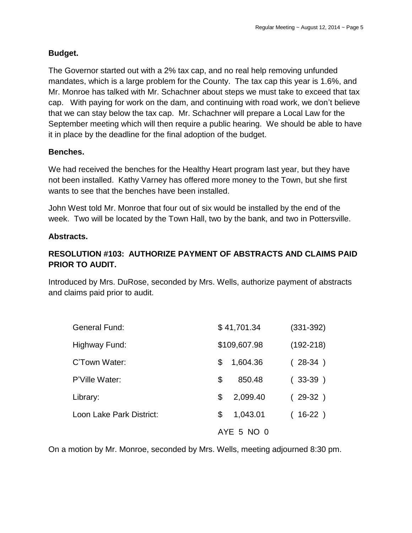### **Budget.**

The Governor started out with a 2% tax cap, and no real help removing unfunded mandates, which is a large problem for the County. The tax cap this year is 1.6%, and Mr. Monroe has talked with Mr. Schachner about steps we must take to exceed that tax cap. With paying for work on the dam, and continuing with road work, we don't believe that we can stay below the tax cap. Mr. Schachner will prepare a Local Law for the September meeting which will then require a public hearing. We should be able to have it in place by the deadline for the final adoption of the budget.

### **Benches.**

We had received the benches for the Healthy Heart program last year, but they have not been installed. Kathy Varney has offered more money to the Town, but she first wants to see that the benches have been installed.

John West told Mr. Monroe that four out of six would be installed by the end of the week. Two will be located by the Town Hall, two by the bank, and two in Pottersville.

### **Abstracts.**

# **RESOLUTION #103: AUTHORIZE PAYMENT OF ABSTRACTS AND CLAIMS PAID PRIOR TO AUDIT.**

Introduced by Mrs. DuRose, seconded by Mrs. Wells, authorize payment of abstracts and claims paid prior to audit.

| <b>General Fund:</b>     | \$41,701.34    | $(331 - 392)$ |  |
|--------------------------|----------------|---------------|--|
| Highway Fund:            | \$109,607.98   | $(192 - 218)$ |  |
| C'Town Water:            | 1,604.36<br>S  | $(28-34)$     |  |
| P'Ville Water:           | \$<br>850.48   | $(33-39)$     |  |
| Library:                 | 2,099.40<br>\$ | $(29-32)$     |  |
| Loon Lake Park District: | 1,043.01<br>\$ | $(16-22)$     |  |
|                          | AYE 5 NO 0     |               |  |

On a motion by Mr. Monroe, seconded by Mrs. Wells, meeting adjourned 8:30 pm.